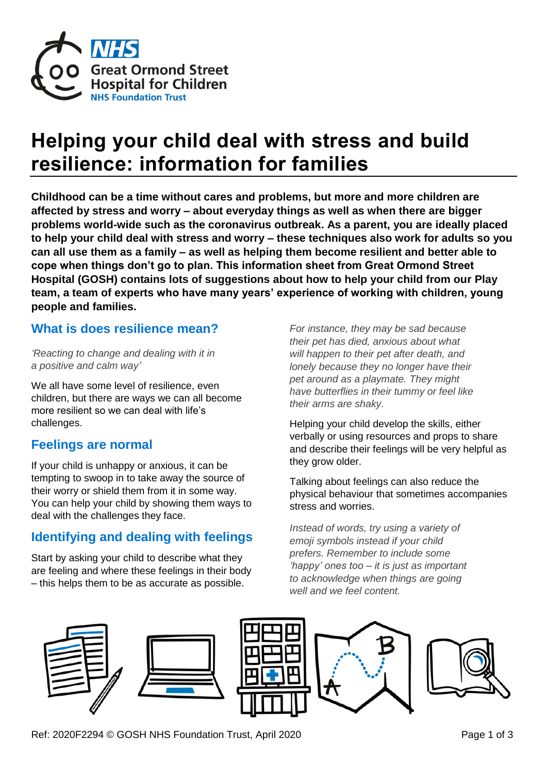

# **Helping your child deal with stress and build resilience: information for families**

**Childhood can be a time without cares and problems, but more and more children are affected by stress and worry – about everyday things as well as when there are bigger problems world-wide such as the coronavirus outbreak. As a parent, you are ideally placed to help your child deal with stress and worry – these techniques also work for adults so you can all use them as a family – as well as helping them become resilient and better able to cope when things don't go to plan. This information sheet from Great Ormond Street Hospital (GOSH) contains lots of suggestions about how to help your child from our Play team, a team of experts who have many years' experience of working with children, young people and families.**

#### **What is does resilience mean?**

*'Reacting to change and dealing with it in a positive and calm way'*

We all have some level of resilience, even children, but there are ways we can all become more resilient so we can deal with life's challenges.

## **Feelings are normal**

If your child is unhappy or anxious, it can be tempting to swoop in to take away the source of their worry or shield them from it in some way. You can help your child by showing them ways to deal with the challenges they face.

## **Identifying and dealing with feelings**

Start by asking your child to describe what they are feeling and where these feelings in their body – this helps them to be as accurate as possible.

*For instance, they may be sad because their pet has died, anxious about what will happen to their pet after death, and lonely because they no longer have their pet around as a playmate. They might have butterflies in their tummy or feel like their arms are shaky.*

Helping your child develop the skills, either verbally or using resources and props to share and describe their feelings will be very helpful as they grow older.

Talking about feelings can also reduce the physical behaviour that sometimes accompanies stress and worries.

*Instead of words, try using a variety of emoji symbols instead if your child prefers. Remember to include some 'happy' ones too – it is just as important to acknowledge when things are going well and we feel content.* 









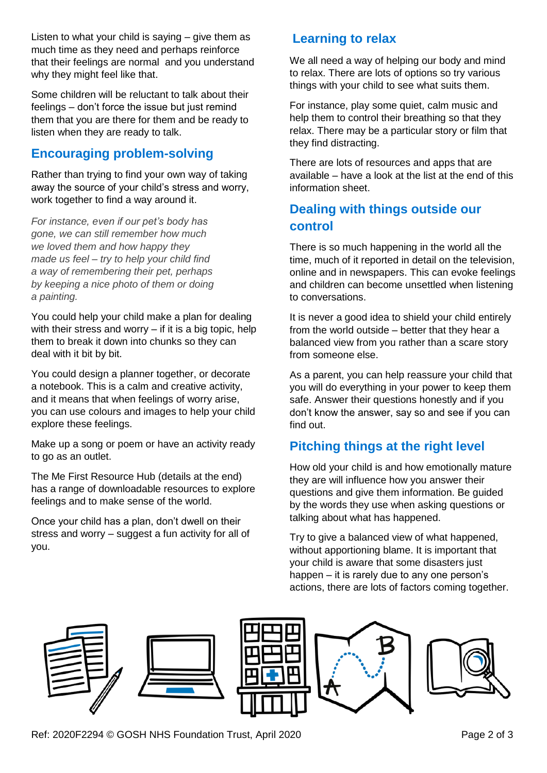Listen to what your child is saying – give them as much time as they need and perhaps reinforce that their feelings are normal and you understand why they might feel like that.

Some children will be reluctant to talk about their feelings – don't force the issue but just remind them that you are there for them and be ready to listen when they are ready to talk.

## **Encouraging problem-solving**

Rather than trying to find your own way of taking away the source of your child's stress and worry, work together to find a way around it.

*For instance, even if our pet's body has gone, we can still remember how much we loved them and how happy they made us feel – try to help your child find a way of remembering their pet, perhaps by keeping a nice photo of them or doing a painting.* 

You could help your child make a plan for dealing with their stress and worry  $-$  if it is a big topic, help them to break it down into chunks so they can deal with it bit by bit.

You could design a planner together, or decorate a notebook. This is a calm and creative activity, and it means that when feelings of worry arise, you can use colours and images to help your child explore these feelings.

Make up a song or poem or have an activity ready to go as an outlet.

The Me First Resource Hub (details at the end) has a range of downloadable resources to explore feelings and to make sense of the world.

Once your child has a plan, don't dwell on their stress and worry – suggest a fun activity for all of you.

# **Learning to relax**

We all need a way of helping our body and mind to relax. There are lots of options so try various things with your child to see what suits them.

For instance, play some quiet, calm music and help them to control their breathing so that they relax. There may be a particular story or film that they find distracting.

There are lots of resources and apps that are available – have a look at the list at the end of this information sheet.

# **Dealing with things outside our control**

There is so much happening in the world all the time, much of it reported in detail on the television, online and in newspapers. This can evoke feelings and children can become unsettled when listening to conversations.

It is never a good idea to shield your child entirely from the world outside – better that they hear a balanced view from you rather than a scare story from someone else.

As a parent, you can help reassure your child that you will do everything in your power to keep them safe. Answer their questions honestly and if you don't know the answer, say so and see if you can find out.

# **Pitching things at the right level**

How old your child is and how emotionally mature they are will influence how you answer their questions and give them information. Be guided by the words they use when asking questions or talking about what has happened.

Try to give a balanced view of what happened, without apportioning blame. It is important that your child is aware that some disasters just happen – it is rarely due to any one person's actions, there are lots of factors coming together.